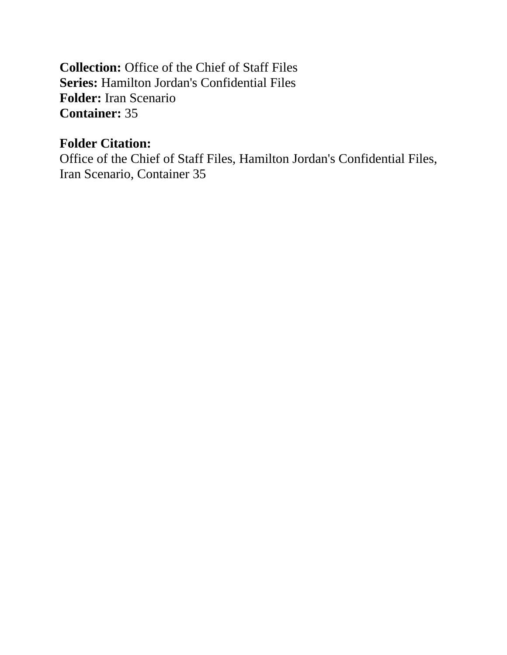**Collection:** Office of the Chief of Staff Files **Series:** Hamilton Jordan's Confidential Files **Folder:** Iran Scenario **Container:** 35

# **Folder Citation:**

Office of the Chief of Staff Files, Hamilton Jordan's Confidential Files, Iran Scenario, Container 35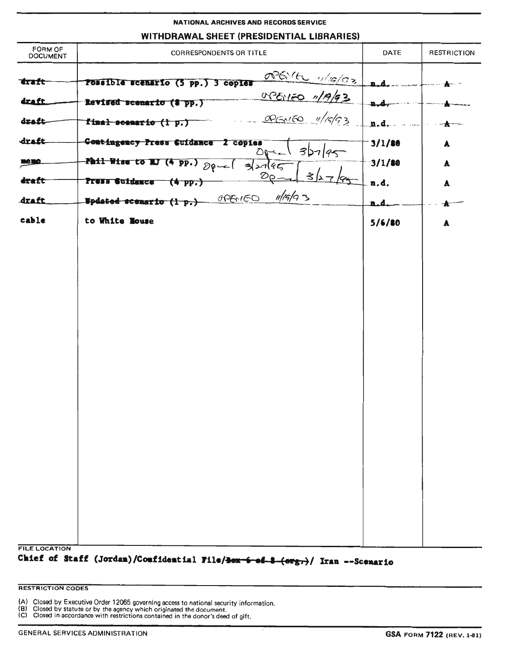# NATIONAL ARCHIVES AND RECORDS SERVICE

# WITHDRAWAL SHEET (PRESIDENTIAL LIBRARIES)

| FORM OF<br><b>DOCUMENT</b> | <b>CORRESPONDENTS OR TITLE</b>                                                                      | DATE         | <b>RESTRICTION</b> |
|----------------------------|-----------------------------------------------------------------------------------------------------|--------------|--------------------|
| "draft-<br>draft.          | openite 1/19/02<br>rossible scenario (5 pp.) 3 copies<br>OPENEO 1/19/93<br>Revised scenario (8 pp.) | $\mathbf{r}$ |                    |
| draft                      | <u>RENFO</u> 11/15/53<br>final scenario (1 p.)                                                      | n.d.         |                    |
| draft                      | Contingency Press Cuidance 2 copies<br>3D7 95<br>$\mathcal{D}$                                      | 3/1/80       | A                  |
| memo.                      | Phil Wise to MJ (4 pp.)<br>327/45<br>$80 - 1$                                                       | 3/1/80       | A                  |
| draft                      | ⊰<br>$\mathcal{D}_{\Omega}$<br>Press Suidance (4 pp.)                                               | n.d.         | $\blacktriangle$   |
| draft                      | 16 G <br>OPENED<br>Updated scenario (1 p.)                                                          | ہ ہ          |                    |
| cable                      | to White Mouse                                                                                      | 5/6/80       | A                  |
|                            |                                                                                                     |              |                    |
|                            |                                                                                                     |              |                    |
|                            |                                                                                                     |              |                    |
|                            |                                                                                                     |              |                    |
|                            |                                                                                                     |              |                    |
|                            |                                                                                                     |              |                    |
|                            |                                                                                                     |              |                    |
|                            |                                                                                                     |              |                    |
|                            |                                                                                                     |              |                    |
|                            |                                                                                                     |              |                    |
|                            |                                                                                                     |              |                    |
|                            |                                                                                                     |              |                    |
|                            |                                                                                                     |              |                    |
|                            |                                                                                                     |              |                    |
| <b>FILE LOCATION</b>       |                                                                                                     |              |                    |

Chief of Staff (Jordan)/Confidential File/<del>Box 6 of 8 (org.)</del>/ Iran --Scenario

#### **RESTRICTION CODES**

(A) Closed by Executive Order 12065 governing access to national security information.

(B) Closed by statute or by the agency which originated the document.<br>(C) Closed in accordance with restrictions contained in the document.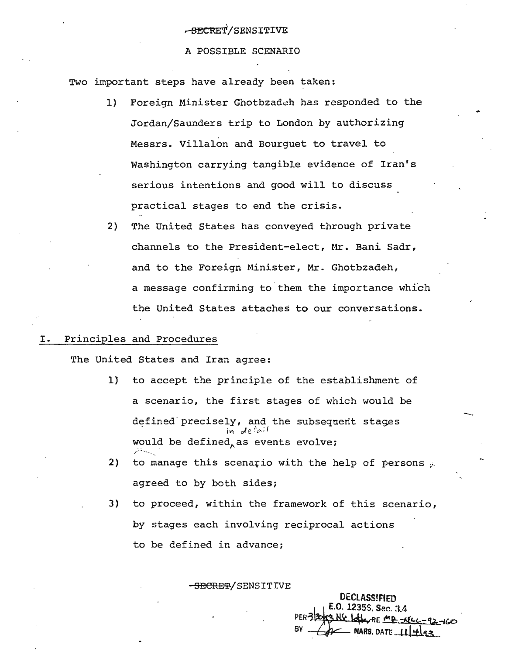#### A POSSIBLE SCENARIO

Two important steps have already been taken:

- 1) Foreign Minister Ghotbzadeh has responded to the Jordan/Saunders trip to London by authorizing Messrs. Villalon and Bourguet to travel to Washington carrying tangible evidence of Iran's serious intentions and good will to discuss practical stages to end the crisis.
- 2) The United States has conveyed through private channels to the President-elect, Mr. *Bani* Sadr, and to the Foreign Minister, Mr. Ghotbzadeh, a message confirming to them the importance which the United States attaches to our conversations.

# I. Principles and Procedures

The United States and Iran agree:

- 1) to accept the principle of the establishment of a scenario, the first stages of which would be defined precisely, and the subsequent stages . iVl *c:Jef-~,;(* would be defined, as events evolve;<br>,
- 2) to manage this scenario with the help of persons  $\mu$ agreed to by both sides;
- 3) to proceed, within the framework of this scenario, by stages each involving reciprocal actions to be defined in advance;

-<del>SECRET</del>/SENSITIVE

DEClASS!FfED . E.O. 1235S, Sec. 3.4<br>PER=12003 NS Letter RE mp -AtLL-92-160  $BY - 2Y - NARS$ , DATE  $\llbracket \cdot \rrbracket_{A=1}$ 

-.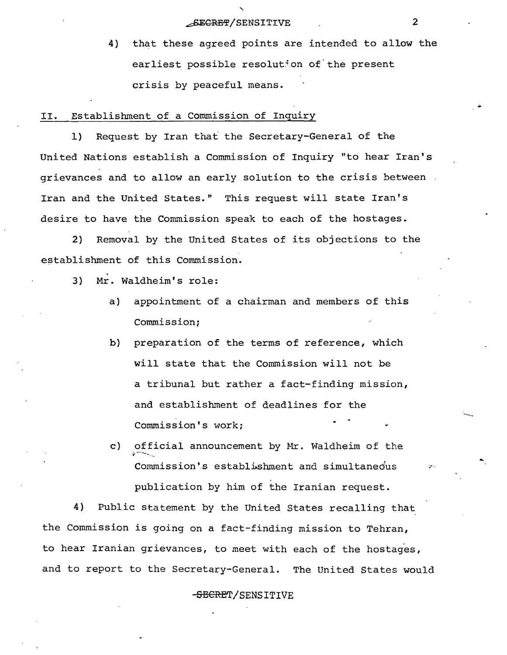# EXPRESS ASSESSMENT ASSESSMENT ASSESSMENT ASSESSMENT ASSESSMENT RANGE AND RELATIONS

4) that these agreed points are intended to allow the earliest possible resolution of the present crisis by peaceful means.

II. Establishment of a Commission of Inquiry

1) Request by Iran that the Secretary-General of the United Nations establish a Commission of Inquiry "to hear Iran's grievances and to allow an early solution to the crisis between Iran and the United States." This request will state Iran's desire to have the Commission speak to each of the hostages.

2) Removal by the United States of its objections to the establishment of this Commission.

- . 3) Mr. Waldheim's role:
	- a) appointment of a chairman and members of this Commission;
	- b) preparation of the terms of reference, which will state that the Commission will not be a tribunal but rather a fact-finding mission, and establishment of deadlines for the Commission's work;
	- c) official announcement by Mr. Waldheim of the Commission's establishment and simultaneous publication by him of the Iranian request.

4) Public statement by the United States recalling that the Commission is going on a fact-finding mission to Tehran, to hear Iranian grievances, to meet with each of the hostages, and to report to the Secretary-General. The United States would

-SECRET/SENSITIVE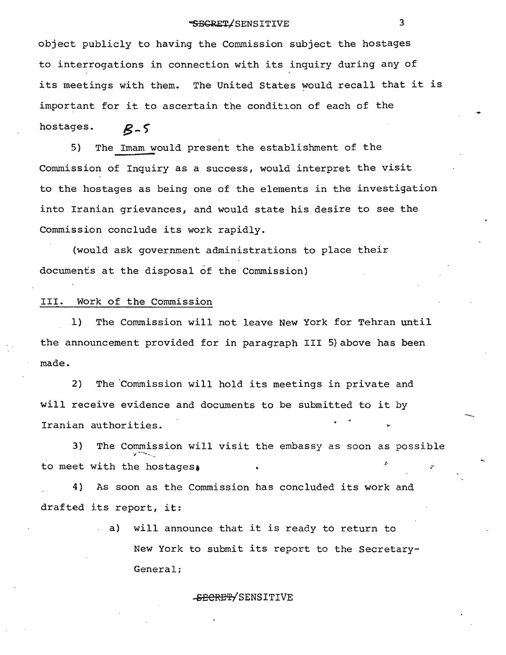# \*SECRET/SENSITIVE 3

object publicly to having the Commission subject the hostages to interrogations in connection with its inquiry during any of its meetings with them. The United states would recall that it is important for it to ascertain the condition of each of the

hostages.  $B-5$ 

5} The Imam would present the establishment of the Commission of Inquiry as a success, would interpret the visit to the hostages as being one of the elements in the investigation into Iranian grievances, and would state his desire to see the Commission conclude its work rapidly.

(would ask government administrations to place their documents at the disposal of the Commission)

#### III. Work of the Commission

1) The Commission will not leave New York for Tehran until the announcement provided for in paragraph III 5) above has been made.

2) The Commission will hold its meetings in private and will receive evidence and documents to.be submitted to it by Iranian authorities.

3) The Commission will visit the embassy as soon as possible to meet with the hostages.

4) As soon as the Commission has concluded its work and drafted its report, it:

> . a) will announce that it is ready to return to New York to submit its report to the Secretary-General;

#### -SECRET/SENSITIVE

----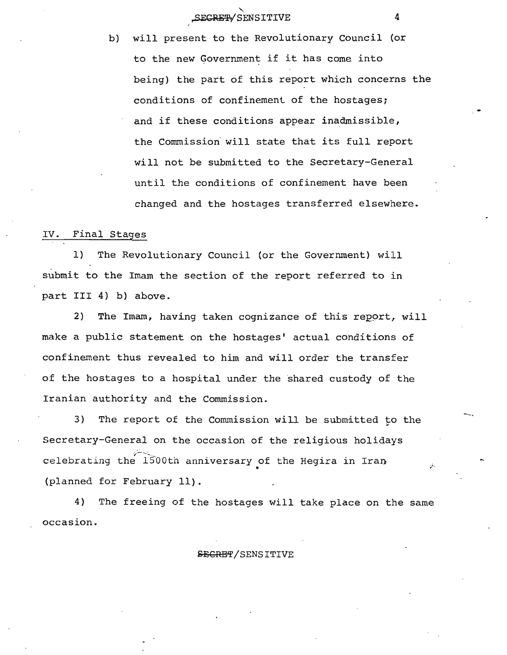b) will present to the Revolutionary Council (or to the new Government if it has come into being) the part of this report which concerns the conditions of confinement of the hostages; and if these conditions appear inadmissible, the Commission' will state that its full report will not be submitted to the Secretary-General until the conditions of confinement have been changed and the hostages transferred elsewhere.

#### IV. Final Stages

1) The Revolutionary Council (or the Government) will submit to the Imam the section of the report referred to in part III 4) b) above.

2) The Imam, having taken cognizance of this report, will make a public statement on the hostages' actual conditions of confinement thus revealed to him and will order the transfer of the hostages to a hospital under the 'shared custody of the Iranian authority and the Commission.

3) The report of the Commission will be submitted to the Secretary-General on the occasion of the religious holidays .~~.:.::..... . celebrating the 1500th anniversary of the Hegira in Iran (planned for February 11).

4) The freeing of the hostages will take place on the same occasion.

#### **SECRET/SENSITIVE**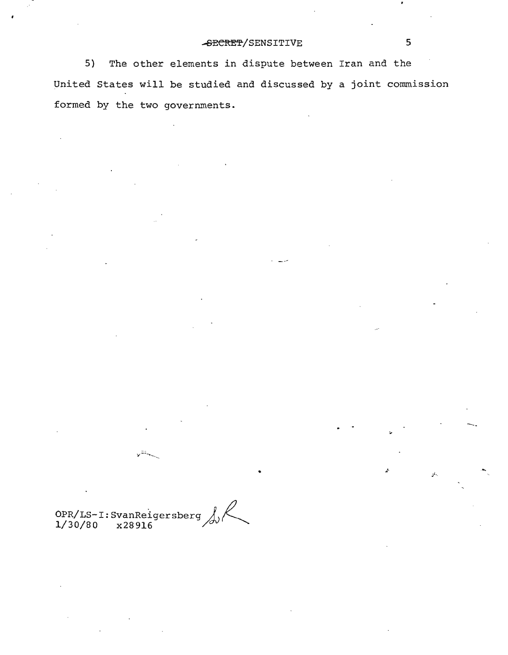# -SECRET/SENSITIVE 5

5) The other elements in dispute between Iran and the United States will be studied and discussed by a joint commission formed by the two governments.

• . .1-

OPR/LS-I:SvanReigersberg *j ~*  $1/30/80$   $x28916$   $20/30$   $x28916$ 

 $\overline{\phantom{a}}$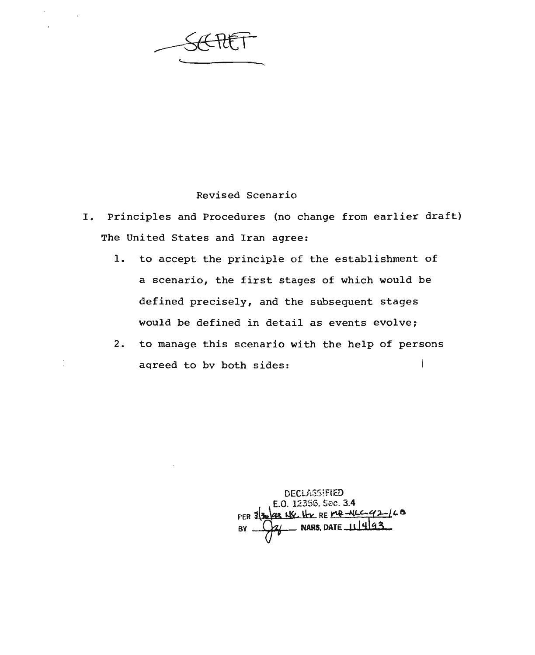# Revised Scenario

- I. Principles and Procedures (no change from earlier draft) The United States and Iran agree:
	- 1. to accept the principle of the establishment of a scenario, the first stages of which would be defined precisely, and the subsequent stages would be defined in detail as events evolve;
	- 2. to manage this scenario with the help of persons aqreed to bv both sides:

DECU\S51FiED E.O. 12356, Sec. 3.4<br>PER 3<sup>2</sup>22 MY. Hy RE **PAR -NLC-42-16**  $BY \longrightarrow X$  NARS, DATE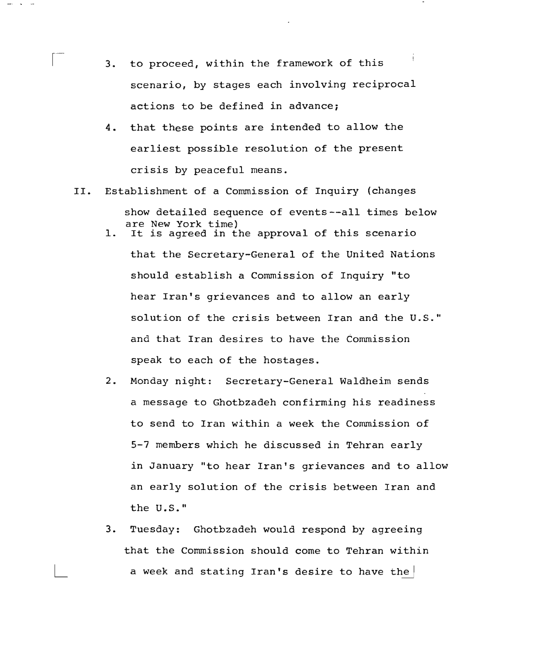- 3. to proceed, within the framework of this scenario, by stages each involving reciprocal actions to be defined in advance;
- 4. that these points are intended to allow the earliest possible resolution of the present crisis by peaceful means.
- II. Establishment of a Commission of Inquiry (changes show detailed sequence of events--all times below are New York time)
	- 1. It is agreed in the approval of this scenario that the Secretary-General of the United Nations should establish a Commission of Inquiry "to hear Iran's grievances and to allow an early solution of the crisis between Iran and the U.S." and that Iran desires to have the Commission speak to each of the hostages.
	- 2. Monday night: Secretary-General Waldheim sends a message to Ghotbzadeh confirming his readiness to send to Iran within a week the Commission of 5-7 members which he discussed in Tehran early in January "to hear Iran's grievances and to allow an early solution of the crisis between Iran and the U.S."
	- 3. Tuesday: Ghotbzadeh would respond by agreeing that the Commission should come to Tehran within a week and stating Iran's desire to have the  $|$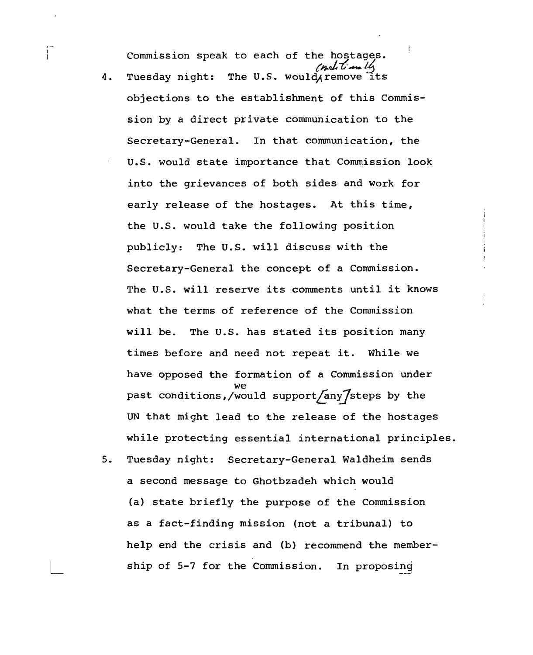Commission speak to each of the hostages.

- 4. Tuesday night: The U.S. would remove its objections to the establishment of this Commission by a direct private communication to the Secretary-General. In that communication, the U.S. would state importance that Commission look into the grievances of both sides and work for early release of the hostages. At this time, the U.S. would take the following position publicly: The U.S. will discuss with the Secretary-General the concept of a Commission. The U.S. will reserve its comments until it knows what the terms of reference of the Commission will be. The U.S. has stated its position many times before and need not repeat it. While we have opposed the formation of a Commission under we past conditions,/would support/any/steps by the UN that might lead to the release of the hostages while protecting essential international principles.
- 5. Tuesday night: Secretary-General Waldheim sends a second message to Ghotbzadeh which would (a) state briefly the purpose of the Commission as a fact-finding mission (not a tribunal) to help end the crisis and (b) recommend the membership of 5-7 for the Commission. In proposing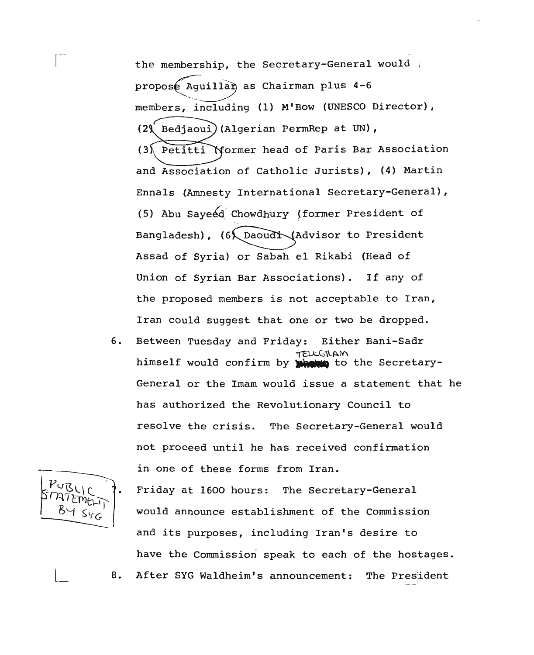the membership, the Secretary-General would <sup>i</sup> proposé Aquillan as Chairman plus 4-6 members, including (1) M'Bow (UNESCO Director),  $(29)$ (3) Petitti Mormer head of Paris Bar Association Bedjaoui) (Algerian PermRep at UN), and Association of Catholic Jurists), (4) Martin Ennals (Amnesty International Secretary-General), (5) Abu Sayeed Chowdhury (former President of Bangladesh),  $(6\sqrt{\frac{2}{d}}\cdot\frac{1}{d})$  Bangladesh),  $(6\sqrt{\frac{2}{d}}\cdot\frac{1}{d})$ Assad of Syria) or Sabah el Rikabi (Head of Union of Syrian Bar Associations). If any of the proposed members is not acceptable to Iran, Iran could suggest that one or two be dropped.

6. Between Tuesday and Friday: Either Bani-Sadr  $TFLK(nlAM)$ himself would confirm by **when** to the Secretary-General or the Imam would issue a statement that he has authorized the Revolutionary Council to resolve the crisis. The Secretary-General would not proceed until he has received confirmation in one of these forms from Iran.

Friday at 1600 hours: The Secretary-General would announce establishment of the Commission and its purposes, including Iran's desire to have the Commission speak to each of the hostages. 8. After SYG Waldheim's announcement: The President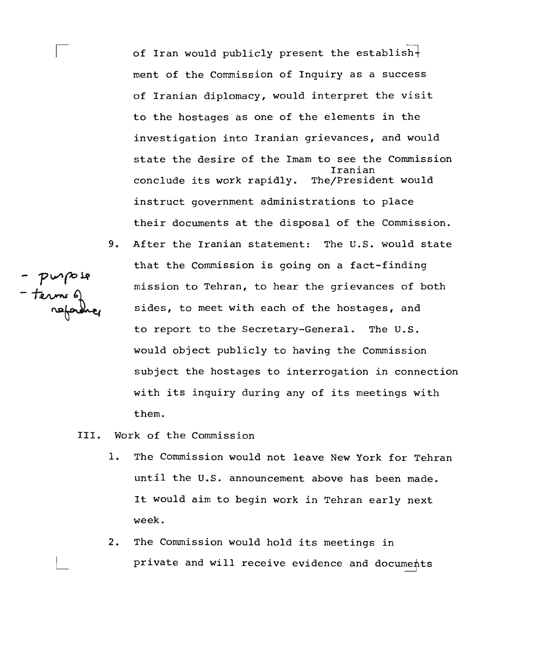of Iran would publicly present the establish $\dagger$ ment of the Commission of Inquiry as a success of Iranian diplomacy, would interpret the visit to the hostages as one of the elements in the investigation into Iranian grievances, and would state the desire of the Imam to see the Commission Iranian conclude its work rapidly. The/President would instruct government administrations to place their documents at the disposal of the Commission.

- 9. After the Iranian statement: The U.S. would state that the Commission is going on a fact-finding mission to Tehran, to hear the grievances of both sides, to meet with each of the hostages, and to report to the Secretary-General. The U.S. would object publicly to having the Commission subject the hostages to interrogation in connection with its inquiry during any of its meetings with them.
- III. Work of the Commission
	- 1. The Commission would not leave New York for Tehran until the U.S. announcement above has been made. It would aim to begin work in Tehran early next week.
	- 2. The Commission would hold its meetings in private and will receive evidence and documents

- purpose<br>- terms q<br>reforme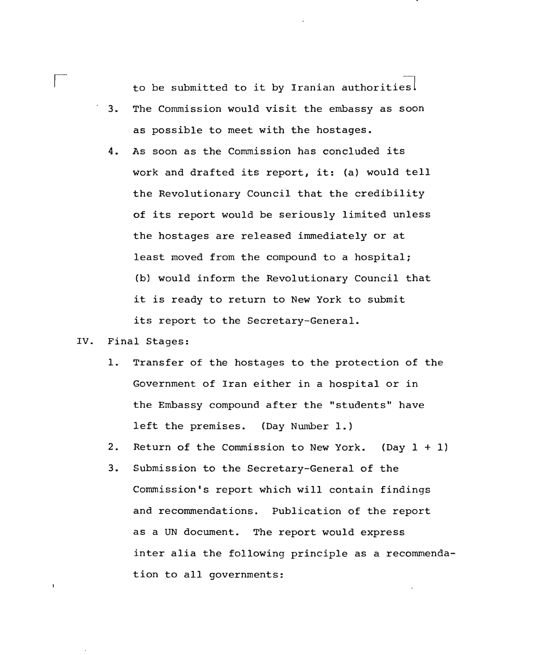to be submitted to it by Iranian authorities!

- . 3. The Commission would visit the embassy as soon as possible to meet with the hostages.
- 4. As soon as the Commission has concluded its work and drafted its report, it: (a) would tell the Revolutionary Council that the credibility of its report would be seriously limited unless the hostages are released immediately or at least moved from the compound to a hospital; (b) would inform the Revolutionary Council that it is ready to return to New York to submit its report to the Secretary-General.

#### IV. Final Stages:

 $\overline{1}$ 

- 1. Transfer of the hostages to the protection of the Government of Iran either in a hospital or in the Embassy compound after the "students" have left the premises. (Day Number 1.)
- 2. Return of the Commission to New York. (Day 1 + 1)
- 3. Submission to the Secretary-General of the Commission's report which will contain findings and recommendations. Publication of the report as a UN document. The report would express inter alia the following principle as a recommendation to all governments: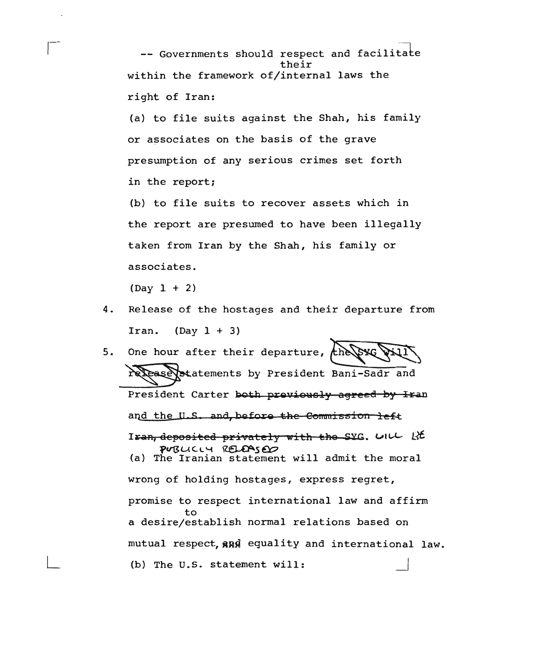-- Governments should respect and facilitate their within the framework of/internal laws the right of Iran:

(a) to file suits against the Shah, his family or associates on the basis of the grave presumption of any serious crimes set forth in the report;

(b) to file suits to recover assets which in the report are presumed to have been illegally taken from Iran by the Shah, his family or associates.

 $(Day 1 + 2)$ 

- 4. Release of the hostages and their departure from Iran.  $(Day 1 + 3)$
- One hour after their departure, 5. *the 15* Rease statements by President Bani-Sadr and President Carter both previously agreed by Iran and the U.S. and before the Commission left Iran, deposited privately with the SYG. UILL RE PUBLICIU RELEASED (a) The Iranian statement will admit the moral wrong of holding hostages, express regret, promise to respect international law and affirm to a desire/establish normal relations based on mutual respect, and equality and international law. (b) The U.S. statement will: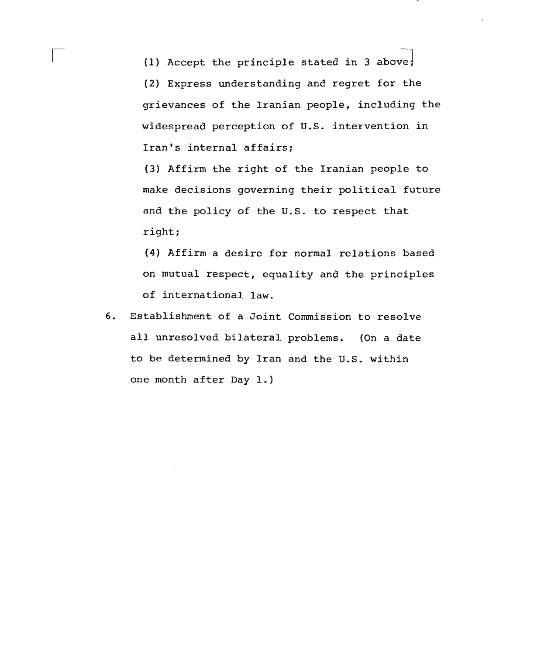(1) Accept the principle stated in 3 above; (2) Express understanding and regret for the grievances of the Iranian people, including the widespread perception of u.s. intervention in Iran's internal affairs;

(3) Affirm the right of the Iranian people to make decisions governing their political future and the policy of the U.S. to respect that right;

(4) Affirm a desire for normal relations based on mutual respect, equality and the principles of international law.

6. Establishment of a Joint Commission to resolve all unresolved bilateral problems. (On a date to be determined by Iran and the U.S. within one month after Day 1.)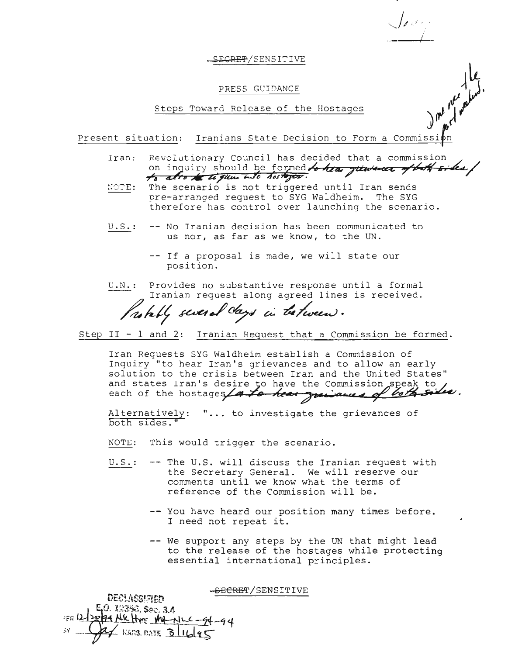#### SE<del>CRET</del>/SENSITIVE

#### PRESS GUIDANCE

Steps Toward Release of the Hostages

Present situation: Iranians State Decision to Form a Commission

Iran; Revolutionary Council has decided that a commission ~ on inquiry should be formed to hear just west of both sides/  $\frac{1}{\sqrt{2}}$  also to the glue into hostogen.

 $\iota$  $\frac{1}{\sqrt{2}}$ .

*)'111'*

- The scenario is not triggered until Iran sends NOTE: pre-arranged request to SYG Waldheim. The SYG therefore has control over launching the scenario.
- U.S.: -- No Iranian decision has been communicated to us nor, as far as we know, to the UN.
	- -- If a proposal is made, we will state our position.
- U.N.: Provides no substantive response until a formal<br>Iranian request along agreed lines is received.

 $f$ uhly several days in te*tween*.

Step II - 1 and 2: Iranian Request that a Commission be formed.

Iran Requests SYG Waldheim establish a Commission of Inquiry "to hear Iran's grievances and to allow an early solution to the crisis between Iran and the United States" and states Iran's desire to have the Commission speak to each of the hostages / a to hear grainances of both sides.

Alternatively: "... to investigate the grievances of both sides."

NOTE: This would trigger the scenario.

- $U.S.:$  -- The U.S. will discuss the Iranian request with the Secretary General. We will reserve our comments until we know what the terms of reference of the Commission will be.
	- -- You have heard our position many times before. I need not repeat it.
	- -- We support any steps by the UN that might lead to the release of the hostages while protecting essential international principles.

-SECRET/SENSITIVE

DECLASSIFIED ,O. 12346, Sec. 34 24 Nic Here Me - 11 - - 94 - 94  $4$  KARS, DATE  $31645$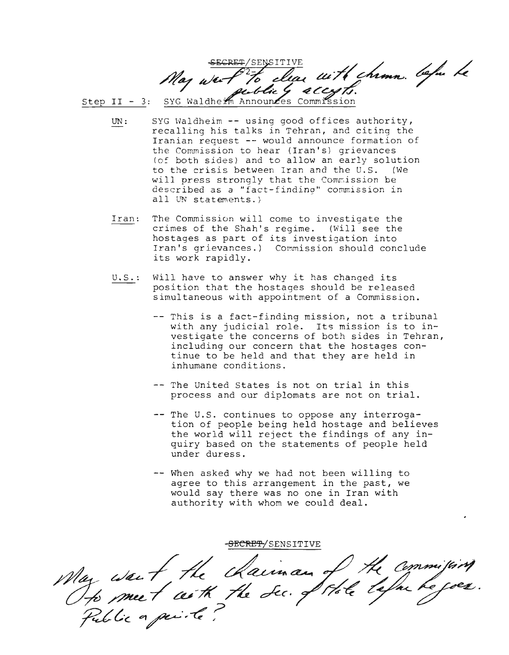Step II - 3: SYG Waldhe $\frac{\mathscr{L}}{m}$  Announ $\mathscr{L}$ es Commission secret/sensitive // // // // // // May war P<sup>2-1</sup>6 clear with chimn. before  $\mu$  outlies ally.

UN : SYG Waldheim -- using good offices authority, recalling his talks in Tehran, and citing the Iranian request -- would announce formation of the Commission to hear (Iran's) grievances (of both sides) and to allow an early solution to the crisis between Iran and the U.S. (We will press strongly that the Commission be described as a "fact-finding" commission in all  $\{W\}$  statements.)

- Iran: The Commission will come to investigate the cr imes of the Shah's regime. (will see the hostages as part of its investigation into Iran's grievances.) Commission should conclude its work rapidly.
- U.S.: Will have to answer why it has changed its position that the hostages should be released simultaneous with appointment of a Commission.
	- -- This is a fact-finding mission, not a tribunal with any judicial role. Its mission is to investigate the concerns of both sides in Tehran, including our concern that the hostages continue to be held and that they are held in inhumane conditions.
	- -- The United States is not on trial in this process and our diplomats are not on trial.
	- -- The U.S. continues to oppose any interrogation of people being held hostage and believes the world will reject the findings of any inquiry based on the statements of people held under duress.
	- -- When asked why we had not been willing to agree to this arrangement in the past, we would say there was no one in Iran with authority with whom we could deal.

May want the chaiman of the commission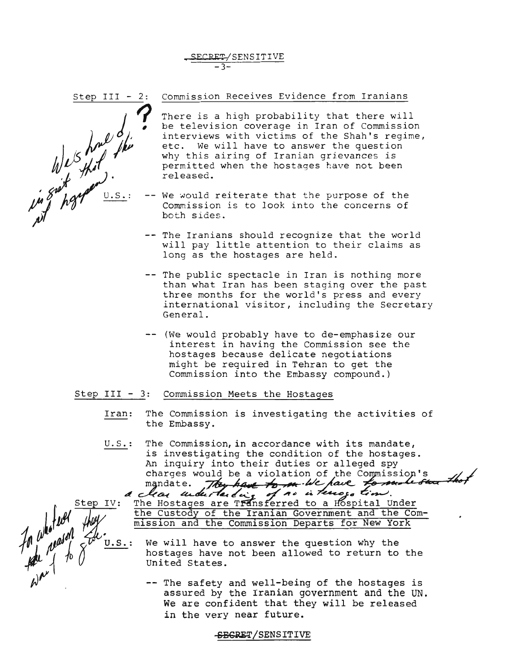SECRET/SENSITIV -3-



*j1*

*JJ5l1)t*

1) what is that if the second with the second with the second with the second with the second with the second w<br>In the paper with the second with the second with the second with the second with the second with the second w

*f ~*

 $\int_{\mathcal{A}} \omega^{||\mathcal{B}||} \omega^{d}$ 

*~*

There is a high probability that there will be television coverage in Iran of Commission interviews with victims of the Shah's regime, etc. We will have to answer the question why this airing of Iranian grievances is permitted when the hostages have not been released.

- We would reiterate that the purpose of the Commission is to look into the concerns of both sides.
- -- The Iranians should recognize that the world will pay little attention to their claims as long as the hostages are held.
- -- The public spectacle in Iran is nothing more than what Iran has been staging over the past three months for the world's press and every international visitor, including the Secretary General.
- (We would probably have to de-emphasize our interest in having the Commission see the hostages because delicate negotiations might be required in Tehran to get the Commission into the Embassy compound.)

# Step III - 3: Commission Meets the Hostages

- Iran: The Commission is investigating the activities of the Embassy.
- u.S.: The Commission, in accordance with its mandate, is investigating the condition of the hostages. An inquiry into their duties or alleged spy<br>charges would be a violation of the Commission's<br>mandate. They have to me let have to must start that mandate. They have to m. W. pave to m

Step IV: The Hostages are Transferred to a Hospital Under the Custody of the Iranian Government and the Commission and the Commission Departs for New York

- U.S.: We will have to answer the question why the hostages have not been allowed to return to the united States.
	- ~~ The safety and well-being of the hostages is assured by the Iranian government and the UN. We are confident that they will be released in the very near future.

SBGRET/SENSITIVE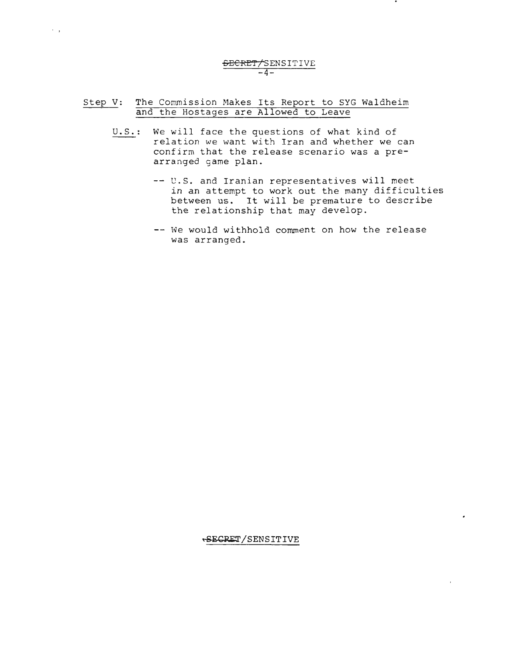#### SECRET/SENSITIVE **-4-**

# Step V: The Commission Makes Its Report to SYG Waldheim and the Hostages are Allowed to Leave

 $\sim$   $_{\star}$ 

- U.S.: We will face the questions of what kind of relation we want with Iran and whether we can confirm that the release scenario was a prearranged game plan.
	- -- U.S. and Iranian representatives will meet in an attempt to work out the many difficulties between us. It will be premature to describe the relationship that may develop.
	- -- We would withhold comment on how the release was arranged.

~ECRET/SENSITIVE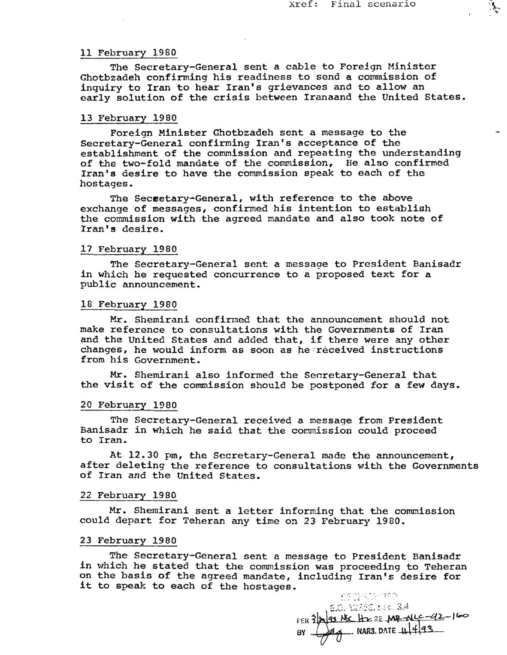्री

#### 11 February 1980

The Secretary-General sent a cable to Foreign Minister Ghotbzadeh confirming his readiness to send a commission of inquiry to Iran to hear Iran's grievances and to allow an early solution of the crisis between Iranaand the United States.

# 13 February 1980

Foreign Minister Ghotbzadeh sent a message to the Secretary-General confirming Iran's acceptance of the establishment of the commission and repeating the understanding of the two-fold mandate of the commission, He also confirmed Iran's desire to have the commission speak to each of the hostages.

The Seceetary~General, with reference to the above exchange 'of messages, confirmed his intention to establish the commission with the agreed mandate and also took note of Iran's desire.

#### 17 February 1980

The Secretary-General sent a message to President Banisadr in which he requested concurrence to a proposed text for a public announcement.

#### 18 February 1980

Mr. Shemirani confirmed that the announcement should not make reference to consultations with the Governments of Iran and the United States and added that, if there were any other changes, he would inform as soon as he received instructions from his Government.

Mr. Shemirani also informed the Secretary-General that the visit of the commission should be postponed for a few days.

#### 20 February 1980

The Secretary-General received a message from President Banisadr in which he said that the commission could proceed to Iran.

At 12.30 pm, the Secretary-General made the announcement, after deleting the reference to consultations with the Governments of Iran and the United States.

# 22 February 1980

Mr. Shemirani sent a letter informing that the commission could depart for Teheran any time on 23 February 1980.

#### 23 February 1980

The Secretary-General sent a message to President Banisadr in which he stated that the commission was proceeding to Teheran on the basis of the agreed mandate, including Iran's desire for it to speak to each of the hostages.

**CPILACGIORD** E.O. 12360, tak. 3.4 FER 3 2 12 12 HZ 2 E MR ALLC - 12 - 160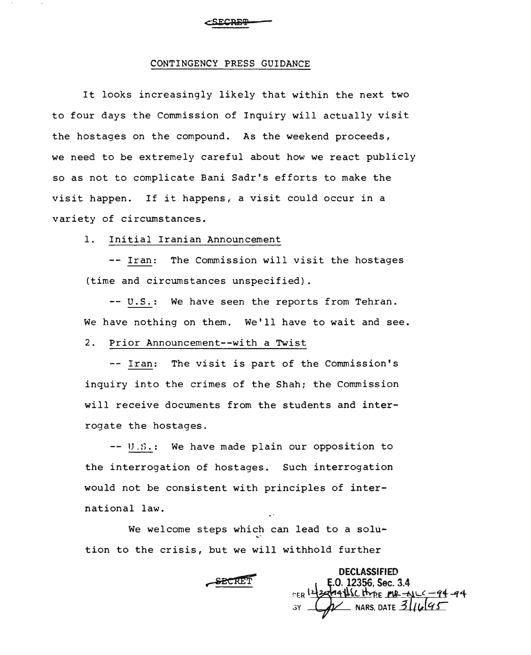#### CONTINGENCY PRESS GUIDANCE

It looks increasingly likely that within the next two to four days the Commission of Inquiry will actually visit the hostages on the compound. As the weekend proceeds, we need to be extremely careful about how we react publicly so as not to complicate Bani Sadr's efforts to make the visit happen. If it happens, a visit could occur in a variety of circumstances.

# 1. Initial Iranian Announcement

-- Iran: The Commission will visit the hostages (time and circumstances unspecified).

-- U.S.: We have seen the reports from Tehran. We have nothing on them. We'll have to wait and see.

#### 2. Prior Announcement--with a Twist

-- Iran: The visit is part of the Commission's inquiry into the crimes of the Shah; the Commission will receive documents from the students and interrogate the hostages.

-- U.S.: We have made plain our opposition to the interrogation of hostages. Such interrogation would not be consistent with principles of international law.

We welcome steps which can lead to a solution to the crisis, but we will withhold further

**SECRET** 

**DECLASSIFIED** E.O. 12356, Sec. 3.4 n:.R\~~~~L~~E N-..::;#..Lt -11- *Jf4-* NARS, DATE  $3||u|q$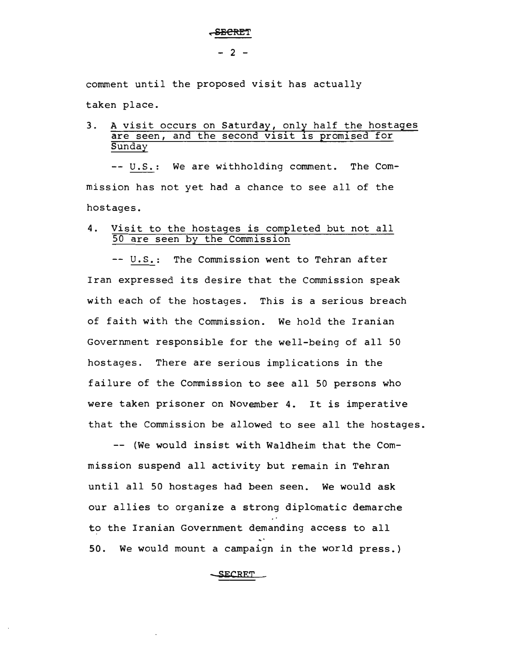#### , SECRET

comment until the proposed visit has actually

taken place.

# 3. A visit occurs on Saturday, only half the hostages are seen, and the second visit is promised for **Sunday**

-- U.S.: We are withholding comment. The Commission has not yet had a chance to see all of the hostages.

# 4. Visit to the hostages is completed but not all 50 are seen by the Commission

-- U.S.: The Commission went to Tehran after Iran expressed its desire that the Commission speak with each of the hostages. This is a serious breach of faith with the Commission. We hold the Iranian Government responsible for the well-being of all 50 hostages. There are serious implications in the failure of the Commission to see all 50 persons who were taken prisoner on November 4. It is imperative that the Commission be allowed to see all the hostages.

-- (We would insist with Waldheim that the Commission suspend all activity but remain in Tehran until all 50 hostages had been seen. We would ask our allies to organize a strong diplomatic demarche to the Iranian Government demanding access to all 50. We would mount a campaign in the world press.)

**SECRET**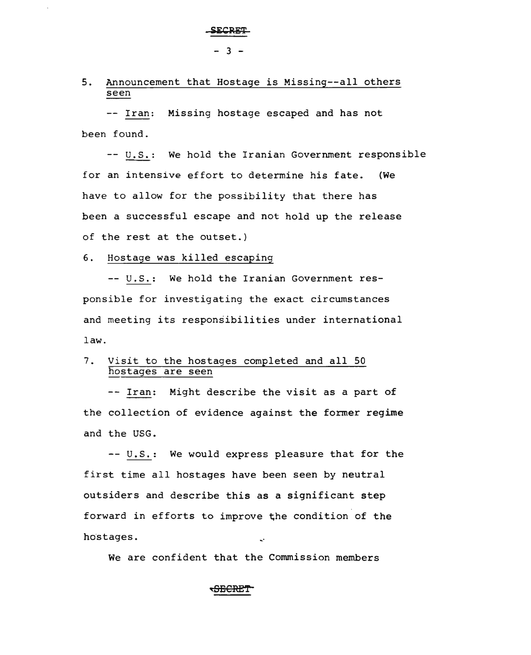# 5. Announcement that Hostage is Missing--all others seen

-- Iran: Missing hostage escaped and has not been found.

-- U.S.: We hold the Iranian Government responsible for an intensive effort to determine his fate. (We have to allow for the possibility that there has been a successful escape and not hold up the release of the rest at the outset.)

6. Hostage was killed escaping

-- U.S.: We hold the Iranian Government responsible for investigating the exact circumstances and meeting its responsibilities under international law.

# 7. Visit to the hostages completed and all 50 hostages are seen

-- Iran: Might describe the visit as a part of the collection of evidence against the former regime and the USG.

-- U.S.: We would express pleasure that for the first time all hostages have been seen by neutral outsiders and describe this as a significant step forward in efforts to improve the condition of the hostages.

We are confident that the Commission members

# <del>SECRE</del>T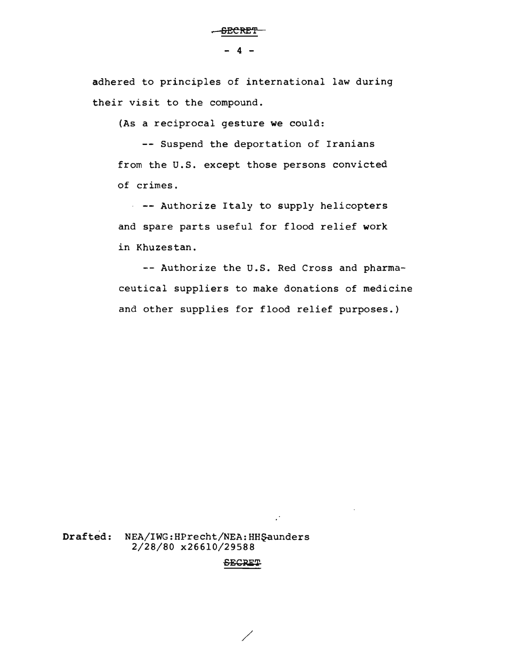adhered to principles of international law during their visit to the compound.

(As a reciprocal gesture we could:

-- Suspend the deportation of Iranians from the U.S. except those persons convicted of crimes.

-- Authorize Italy to supply helicopters and spare parts useful for flood relief work in Khuzestan.

-- Authorize the U.S. Red Cross and pharmaceutical suppliers to make donations of medicine and other supplies for flood relief purposes.)

Drafted: NEA/IWG:HPrecht/NEA:HHŞaunders 2/28/80 x266l0/29588

#### -sECRET

/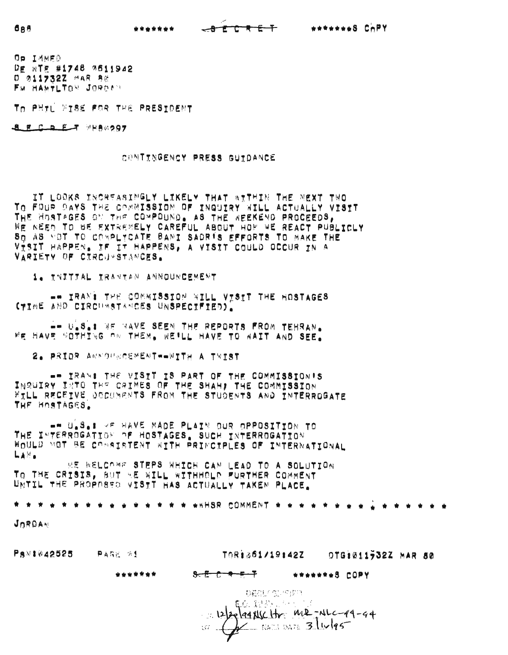| ******* | $-0.5.5.5.5 +$ | ******** COPY |  |
|---------|----------------|---------------|--|
|         |                |               |  |

Op IMMED DE WTE #1748 7611942 o !7J117~2ZI4A~ "0 FM HAMTLTON JORDIN

das

TO PHTL FISE FOR THE PRESIDENT

**SFCDET WHACOOT** 

CONTINGENCY PRESS GUIDANCE

IT LOOKS INCREASINGLY LIKELY THAT \*ITHIN THE NEXT TWO TO FOUR DAYS THE COMMISSION OF INQUIRY WILL ACTUALLY VISTT THE HOSTAGES ON THE COMPOUND. AS THE WEEKEND PROCEEDS, WE NEEP TO 8E EXTREMELY CAREFUL ABOUT HOW WE REACT PUBLICLY SQ AS YOT TO CORPLYCATE BANI SADRIS EFFORTS TO MAKE THE VISIT HAPPEN. IF IT HAPPENS, A VISIT COULD OCCUR IN A VARIETY OF CIRCU~STANCES.

1. TRITTAL IRANTAN ANNOUNCEMENT

 $-$  IRAN: THE COMMISSION WILL VISTT THE HOSTAGES CYIME AND CIRCUMSTAMCES UNSPECIFIED).

 $-$  U.S.: WE RAVE SEEN THE REPORTS FROM TEHRAN. WE HAVE SOTHING ON THEM. WE'LL HAVE TO WAIT AND SEE.

2. PRIOR ANNOURCEMENT -- WITH A TWIST

 $\blacksquare$  IRAN: THE VISIT IS PART OF THE COMMISSION'S INGUIRY INTO THE CRIMES OF THE SHAH, THE COMMISSION WILL RECEIVE OOCUMENTS FROM THE STUDENTS AND INTERROGATE THE HOSTAGES.

 $-$  U.S.I  $\times$ F HAVE MADE PLAIN OUR OPPOSITION TO THE I~TERRCGAT!O~ ~F HOSTAGES, SUCH INTERROGATION WOULD MOT BE COMAINTENT WITH PRINCIPLES OF INTERNATIONAL  $L_A \otimes_{\bullet}$ 

WE WELCOME STEPS WHICH CAN LEAD TO A SOLUTION TO THE CRISIS, aUT ~E WILL ~%THHDLD -URTHER COMMENT UNTIL THE PROPOSED VISTT HAS ACTUALLY TAKEN PLACE.

• • \* •••.••.•••••••• WHSR COMMENT •••.••.•••••• \* •••

JORDAN

| Ps 1042525 | 异离荷光 分生                                                                              |                     | TOR1361/19142Z |                | DTG1011732Z MAR 80 |  |
|------------|--------------------------------------------------------------------------------------|---------------------|----------------|----------------|--------------------|--|
|            | *******                                                                              | <del>አር በቀይ የ</del> |                | ********S COPY |                    |  |
|            | -BRAFISHERS<br>$\frac{122264416c16}{2}$ me- $\frac{122264}{2}$ me- $\frac{12226}{2}$ |                     |                |                |                    |  |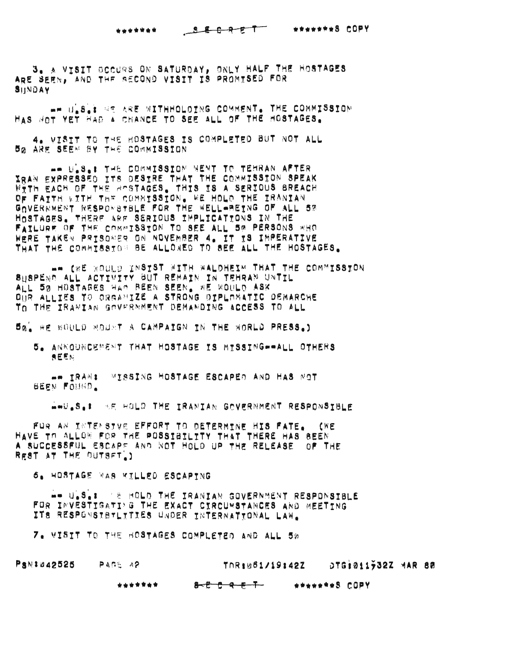# \*\*\*\*\*\*\* SECRET \*\*\*\*\*\*8 COPY

3. A VYSIT OCCURS ON SATURDAY, ONLY HALF THE HOSTAGES ARE SEEN, AND THE RECOND VISIT IS PROMISED FOR SHNDAY

-- U.S.' RE ARE WITHHOLDING COMMENT. THE COMMISSION HAS NOT YET HAD A CHANCE TO SEE ALL OF THE HOSTAGES.

4. VISIT TO THE HOSTAGES IS COMPLETED BUT NOT ALL **BO ARE SEEN BY THE COMMISSION** 

-- U.S.: THE COMMISSION NENT TO TEHRAN AFTER IRAN EXPRESSED ITS DESTRE THAT THE COMMISSION SPEAK WITH EACH OF THE ROSTAGES. THIS IS A SERIOUS BREACH OF FAITH WITH THE COMMISSION. WE HOLD THE IRANIAN GOVERMMENT RESPONSTBLE FOR THE WELL-BEING OF ALL 5% HOSTAGES. THERE ARE SERIOUS IMPLICATIONS IN THE FAILURE OF THE COMMISSION TO SEE ALL 50 PERSONS WHO WERE TAKEN PRISONER ON NOVEMBER 4. IT IS IMPERATIVE THAT THE COMMISSION BE ALLOWED TO SEE ALL THE HOSTAGES.

AN ISE WOULD INSTST WITH WALDHEIM THAT THE COMMISSTON SHSPEND ALL ACTIVITY BUT REMAIN IN TEHRAN UNTIL ALL 50 HOSTAGES HAD BEEN SEEN, WE WOULD ASK DUR ALLIES TO ORGANIZE A STRONG OIPLOMATIC OEMARCHE TO THE IRANIAN GOVERNMENT DEMANDING ACCESS TO ALL

5%, RE BOULD MOUNT A CAMPAIGN IN THE BORLD PRESS.)

5. ANNOUNCEMENT THAT HOSTAGE IS MISSING--ALL OTHERS 高巨筋站

-- IRAN: WISSING HOSTAGE ESCAPED AND HAS NOT **BEEN FOUND.** 

AND S.1 SE HOLD THE IRANIAN GOVERNMENT RESPONSIBLE

FUR AN INTENSTVE EFFORT TO DETERMINE HIS FATE. (WE HAVE TO ALLON FOR THE POSSIBILITY THAT THERE HAS BEEN A SUCCESSFUL ESCAPS AND NOT HOLD UP THE RELEASE. OF THE REST AT THE OUTSET )

6. HOSTAGE WAS KILLED ESCAPTNG

WW ULSLE TE MOLD THE IRANIAN GOVERNMENT RESPONSIBLE FOR INVESTIGATING THE EXACT CIRCUMSTANCES AND MEETING ITS RESPONSTBTLITIES UNDER INTERNATTONAL LAW.

7. VISIT TO THE BOSTAGES COMPLETED AND ALL 5%

PSN:042525 PAGE 42

TOR:061/19:42Z DTG:011932Z MAR 80

\*\*\*\*\*\*\* <del>ይ <sup>ይ</sup> ይ ፍ ና '</del> **WEBSTERS COPY**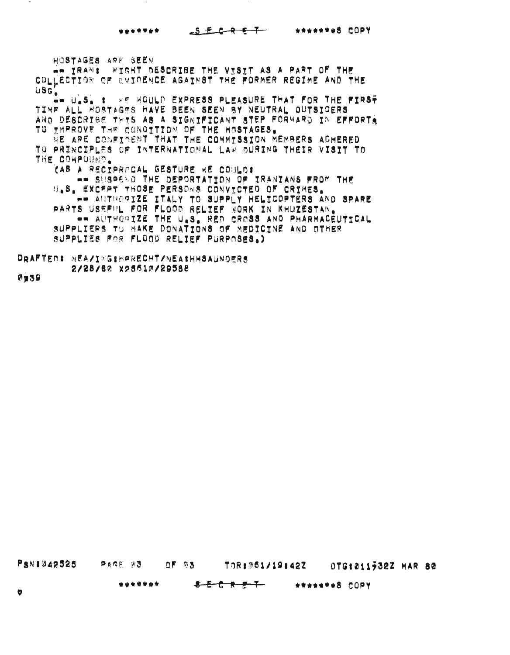**••••••• •••••••!** COpy

~OSTAGES A~E SEEN

 $m = 18A$ NI FISHT DESCRIBE THE VISIT AS A PART OF THE COLLECTION OF EVIDENCE AGAINST THE FORMER REGIME AND THE  $USG$ . **.. U.S. :** \*\* WOULD EXPRESS PLEASURE THAT FOR THE FIRS<del>?</del> TIME ALL HOSTAGES HAVE BEEN SEEN BY NEUTRAL OUTSIDERS ANO DESCRISE THTS AS A SIGNIFICANT STEP FORWARD IN EFFORTA TO THPROVE THE CONDITION OF THE HOSTAGES. WE ARE CONFINENT THAT THE COMMTSSION MEMBERS ADHERED TO PRINCIPLES OF INTERNATIONAL LAW DURING THEIR VISIT TO THE COMPOUND. (A8 A RECIPRACAL GESTURE WE COULDI  $\bullet\bullet$  SUSPE\D THE DEPORTATION OF IRANIANS FROM THE U.S. EXCFPT THOSE PERSONS CONVICTED OF CRIMES.  $~\rightarrow$  AUTHOGIZE ITALY TO SUPPLY HELICOPTERS AND SPARE PARTS USEFIIL FOR FLOOD RELIEF WORK IN KHUZESTAN. •• AUTHORIZE THE U.S~ RED CRoSS AND PHARMACEUTtCAL SUPPLIERS TO MAKE DONATIONS OF MEDICINE AND OTHER aupp~IE8 FOR FLOOD RELIEF PURPOSES.)

DRAFTER: NEA/I~G\*HPRECHT/NEA\*HHSAUNDERS 2/28/80 X25510/29588

0339

PSN#042525 PAGE 03 OF 03 TOR: 061/19:42Z OTG:011932Z MAR 80

**•••• \*t.** • E e ~ ! <sup>T</sup> **••••• \*\*8** COpy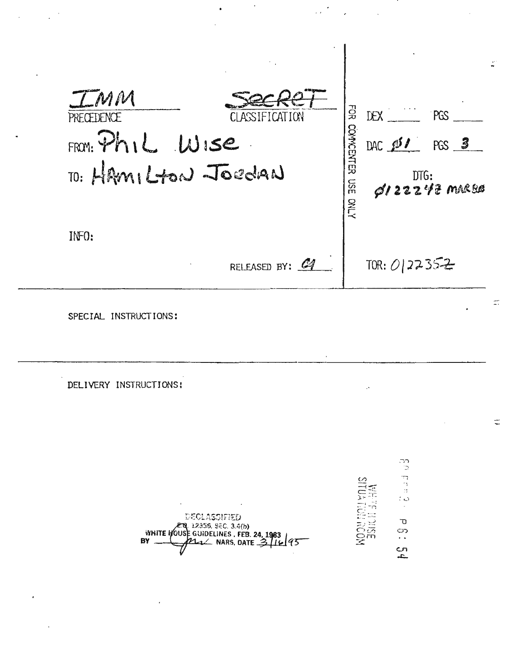| LMM                    |                |                     |                                             |
|------------------------|----------------|---------------------|---------------------------------------------|
| PRECEDENCE             | CLASSIFICATION | FÖR                 | $DEX$ $PGS$                                 |
| $FROM$ : $Ph1L$ $W15e$ |                |                     | DAC $251$ PGS 3                             |
| TO: HAMILTON JOEDAN    |                | COMMOENTER USE ONLY | $100:$ DTG:<br>$\cancel{\phi}$ /22247 marss |
| IMF0:                  |                |                     |                                             |
|                        | RELEASED BY: 4 |                     | TOR: $0 22352$                              |

 $\ddot{\phantom{a}}$ 

 $\sim$ 

cadad<br>o

 $\hat{\boldsymbol{\gamma}}$ 

 $\sigma$ ာ<br>. .

 $54$ 

SPECIAL INSTRUCTIONS:

 $\overline{a}$ 

DELIVERY INSTRUCTIONS:

MOON HOLLYOUS BY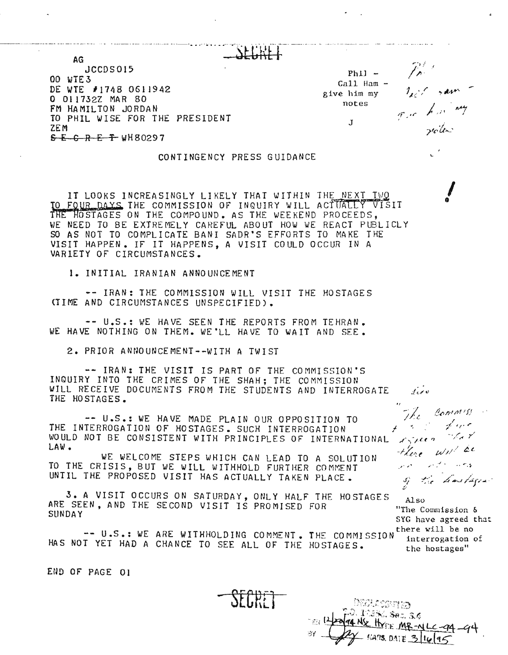--------------------------------------- -------------------- ..,--.- ...~-------- .-.\_- ----..-.----.., ..-.~.---.-~--... -.. -- ..---~-~- ---- ----'-' \_.\_.\_- ... -. AG JCCDS015  $Phi$ <sup>-</sup> 00 WTE3  $Call$  Ham  $\frac{1}{2}$   $\frac{1}{2}$   $\frac{1}{2}$   $\frac{1}{2}$   $\frac{1}{2}$   $\frac{1}{2}$   $\frac{1}{2}$   $\frac{1}{2}$   $\frac{1}{2}$ DE WTE #1748 0611942 give him my o Ol1732Z MAR 80 notes FM HAMILTON JORDAN TO PHIL WISE FOR THE PRESIDENT  $_{\textrm{\scriptsize{J}}}$ ZEM  $S - C - R - E - T$  wh80297

#### CONTINGENCY PRESS GUIDANCE

IT LOOKS INCREASINGLY LIKELY THAT WITHIN THE NEXT TWO TO FOUR DAYS THE COMMISSION OF INQUIRY WILL ACTUALLY THE HOSTAGES ON THE COMPOUND. AS THE WEEKEND PROCEED WE NEED TO BE EXTREMELY CAREFUL ABOUT HOW WE REACT PUBLICLY SO AS NOT TO COMPLICATE BANI SADR'S EFFORTS TO MAKE THE VISIT HAPPEN. IF IT HAPPENS, A VISIT COULD OCCUR IN A VARIETY OF CIRCUMSTANCES.

1. INITIAL IRANIAN ANNOUNCEMENT

.- IRAN: THE COMMISSION WILL VISIT THE HOSTAGES <TIME AND CIRCUMSTANCES UNSPECIFIED).

-- U.S.: WE HAVE SEEN THE REPORTS FROM TEHRAN. WE HAVE NOTHING ON THEM. WE'LL HAVE TO WAIT AND SEE.

2. PRIOR ANNOUNCEMENT--WITH A TWIST

-- IRAN: THE *VISIT* IS PART OF THE COMMISSION'S INQUIRY INTO THE CRIMES OF THE SHAH; THE COMMISSION WILL RECEIVE DOCUMENTS FROM THE STUDENTS AND INTERROGATE THE HOSTAGES.

-- U.S.: WE HAVE MADE PLAIN OUR OPPOSITION TO THE INTERROGATION OF HOSTAGES. SUCH INTERROGATION WOULD NOT BE CONSISTENT WITH PRINCIPLES OF INTERNATIONAL LAW.

WE WELCOME STEPS WHICH CAN LEAD TO A SOLUTION TO THE CRISIS, BUT WE WILL WITHHOLD FURTHER COMMENT UNTIL THE PROPOSED VISIT HAS ACTUALLY TAKEN PLACE.

3. A VISIT OCCURS ON SATURDAY, ONLY HALF THE HOSTAGES ARE SEEN, AND THE SECOND VISIT lS PROMISED FOR SUNDAY

-- U.S.: WE ARE WITHHOLDING COMMENT. THE COMMISSION HAS NOT YET HAD A CHANCE TO SEE ALL OF THE HOSTAGES.

Also "The Commission & SYG have agreed that there will be no interrogation of the hostages"

of the hostages

Commission

 $\mathcal{L}$ 

Lighten

there will be Just the State States

The

*I* G

END OF PAGE 01

्∯<sup>02</sup>ోనం, Sec, 3.¢ NE HYDE ME-ML -94  $-$  5478, DATE 3 16 95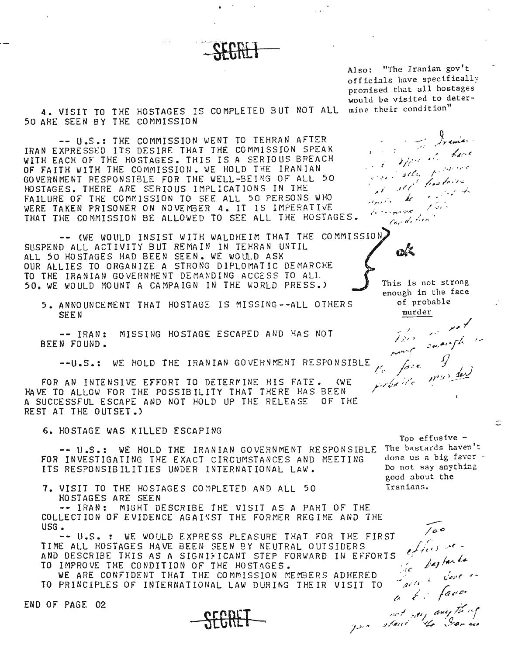Al so: "The Iranian gov 't off icials have specifically promised that all hostages would be visited to deter-

seli,

' see'

termonia ; Condition"

 $\mathbf{c}$ 

نوان

 $\chi \chi^2$ elonde be

4. VISIT TO THE HOSTAGES IS COMPLETED BUT NOT ALL mine their condition" 50 ARE SEEN BY THE COMMISSION

-- U.S.: THE COMMISSION WENT TO TEHRAN AFTER IRAN EXPRESSED ITS DESIRE THAT THE COMMISSION SPEAK WITH EACH *OF* THE HOSTAGES. THIS IS A SERIOUS BREACH OF FAITH WITH THE COMMISSION. WE HOLD THE IRANIAN GOVERNMENT RESPONSIBLE FOR THE WELL-BEING OF ALL 50 HOSTAGES. THERE ARE SERIOUS IMPLICATIONS IN THE FAILURE OF THE COMMISSION TO SEE ALL 50 PERSONS WHO WERE TAKEN PRISONER ON NOVEMBER 4. IT IS IMPERATIVE THAT THE COMMISSION BE ALLOWED TO SEE ALL THE HOSTAGES.

-- (WE WOULD INSIST WITH WALDHEIM THAT THE COMMISSION) SUSPEND ALL ACTIVITY BUT REMAIN IN TEHRAN UNTIL ALL 50 HOSTAGES HAD BEEN SEEN. WE WOUL.D ASK OUR ALLIES TO ORGANIZE A STRONG DIPLOMATIC DEMARCHE TO THE IRANIAN GOVERNMENT DEMANDING ACCESS TO ALL 50. WE WOULD MOUNT A CAMPAIGN IN THE WORLD PRESS.)

5. ANNOUNCEMENT THAT HOSTAGE IS MISSING--ALL OTHERS SEEN

-- IRAN: MISSING HOSTAGE ESCAPED AND HAS NOT BEEN FOUND.

--U.S.: WE HOLD THE IRANIAN GOVERNMENT RESPONSIBLE

FOR AN INTENSIVE EFFORT TO DETERMINE HIS FATE. (WE HAVE TO ALLOW FOR THE POSSIBILITY THAT THERE HAS BEEN A SUCCESSFUL ESCAPE AND NOT HOLD UP THE RELEASE OF THE REST AT THE OUTSET.)

6. HOSTAGE WAS KILLED ESCAPING

-- U.S.: WE HOLD THE IRANIAN GOVERNMENT RESPONSIBLE FOR INVESTIGATING THE EXACT CIRCUMSTANCES AND MEETING ITS RESPONSIBILITIES UNDER INTERNATIONAL LAW.

7. VISIT TO THE HOSTAGES COMPLETED AND ALL 50 Iranians. HOSTAGES ARE SEEN

-- IRAN: MIGHT DESCRIBE THE VISIT AS A PART OF THE COLLECTION OF EVIDENCE AGAINST THE FORMER REGIME AND THE USG.

-- U.S. : WE WOULD EXPRESS PLEASURE THAT FOR THE FIRST<br>
E ALL HOSTAGES HAVE BEEN SEEN BY NEUTRAL OUTSIDERS<br>
DESCRIBE THIS AS A SIGNIFICANT STEP FORWARD IN EFFORTS<br>
IMPROVE THE CONFIDENT THAT THE COMMISSION MEMBERS ADHERED<br> TIME ALL HOSTAGES HAVE BEEN SEEN BY NEUTRAL OUTSIDERS AND DESCRIBE THIS AS A SIGNIFICANT STEP FORWARD IN EFFORTS TO IMPROVE THE CONDITION OF THE HOSTAGES.

WE ARE CONFIDENT THAT THE COMMISSION MEM9ERS ADHERED TO PRINCIPLES OF INTERNATIONAL LAW DURING THEIR VISIT TO

END OF PAGE 02

Too effusive - The bastards haven't done us a big favor -Do not say anything good about the

*.rv-,,--r*

*I;',·'*

This is not strong enough in the face of probable murder

March Leve

وأردي الر

a Champary thing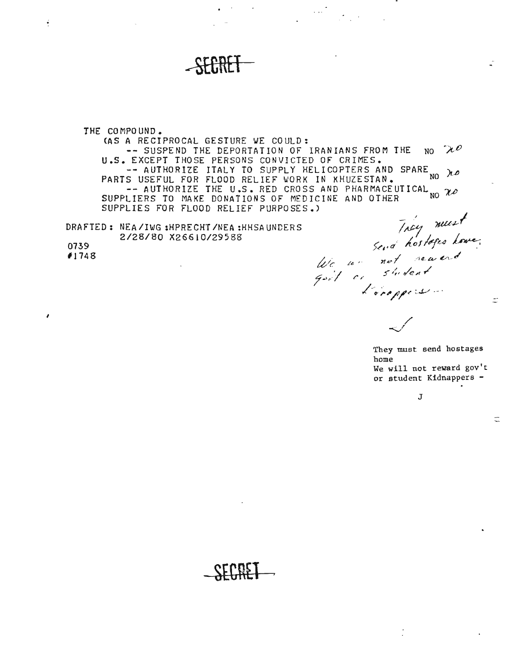THE CO MPO UND. (AS A RECIPROCAL GESTURE WE COULD:  $-$  SUSPEND THE DEPORTATION OF IRANIANS FROM THE NO  $\mathcal{U}^{\rho}$ 

SEGRET

U.S. EXCEPT THOSE PERSONS CONVICTED OF CRIME -- AUTHORIZE ITALY TO SUPPLY HELICOPTERS AND SPARE  $x_0$   $\lambda \rho$ PARTS USEFUL FOR FLOOD RELIEF WORK IN KHUZESTAN. NO <sup>NO 1</sup><br>-- AUTHORIZE THE U.S. RED CROSS AND PHARMACEUTICAL <sub>x></sub> SUPPLIERS TO MAKE DONATIONS OF MEDICINE AND OTHER SUPPLIES FOR FLOOD RELIEF PURPOSES.)

DRAFTED: NEA/IWG:HPRECHT/NEA:HHSAUNDERS *2/28/80 X26610/29588*

0739 *11748*

*I*

 $\ddot{\cdot}$ 

They must<br>send hostoges have,<br>goit or shotent  $\sim$  /

They must send hostages home We will not reward gov't or student Kidnappers -

÷,